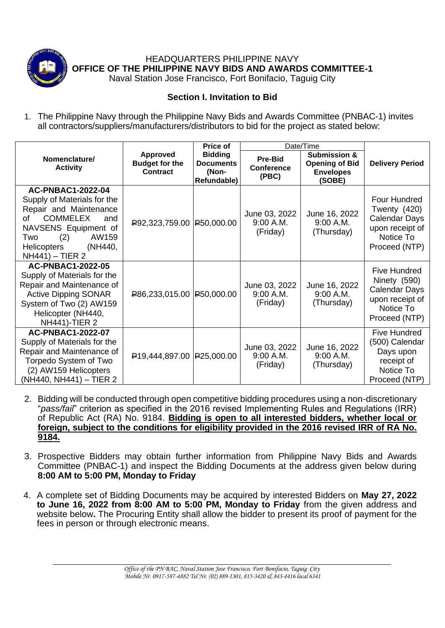

HEADQUARTERS PHILIPPINE NAVY **OFFICE OF THE PHILIPPINE NAVY BIDS AND AWARDS COMMITTEE-1**

Naval Station Jose Francisco, Fort Bonifacio, Taguig City

## **Section I. Invitation to Bid**

1. The Philippine Navy through the Philippine Navy Bids and Awards Committee (PNBAC-1) invites all contractors/suppliers/manufacturers/distributors to bid for the project as stated below:

|                                                                                                                                                                                                               |                                                      | Price of                                                   | Date/Time                                    |                                                                                |                                                                                                              |
|---------------------------------------------------------------------------------------------------------------------------------------------------------------------------------------------------------------|------------------------------------------------------|------------------------------------------------------------|----------------------------------------------|--------------------------------------------------------------------------------|--------------------------------------------------------------------------------------------------------------|
| Nomenclature/<br><b>Activity</b>                                                                                                                                                                              | Approved<br><b>Budget for the</b><br><b>Contract</b> | <b>Bidding</b><br><b>Documents</b><br>(Non-<br>Refundable) | <b>Pre-Bid</b><br><b>Conference</b><br>(PBC) | <b>Submission &amp;</b><br><b>Opening of Bid</b><br><b>Envelopes</b><br>(SOBE) | <b>Delivery Period</b>                                                                                       |
| <b>AC-PNBAC1-2022-04</b><br>Supply of Materials for the<br>Repair and Maintenance<br><b>COMMELEX</b><br>∩f<br>and<br>NAVSENS Equipment of<br>(2)<br>AW159<br>Two<br>Helicopters<br>(NH440,<br>NH441) - TIER 2 | $P92,323,759.00$ $P50,000.00$                        |                                                            | June 03, 2022<br>9:00 A.M.<br>(Friday)       | June 16, 2022<br>9:00 A.M.<br>(Thursday)                                       | Four Hundred<br>Twenty (420)<br><b>Calendar Days</b><br>upon receipt of<br>Notice To<br>Proceed (NTP)        |
| <b>AC-PNBAC1-2022-05</b><br>Supply of Materials for the<br>Repair and Maintenance of<br><b>Active Dipping SONAR</b><br>System of Two (2) AW159<br>Helicopter (NH440,<br><b>NH441)-TIER 2</b>                  | $R$ 86,233,015.00 $R$ 50,000.00                      |                                                            | June 03, 2022<br>9:00 A.M.<br>(Friday)       | June 16, 2022<br>9:00 A.M.<br>(Thursday)                                       | <b>Five Hundred</b><br>Ninety (590)<br><b>Calendar Days</b><br>upon receipt of<br>Notice To<br>Proceed (NTP) |
| <b>AC-PNBAC1-2022-07</b><br>Supply of Materials for the<br>Repair and Maintenance of<br>Torpedo System of Two<br>(2) AW159 Helicopters<br>(NH440, NH441) - TIER 2                                             | $\left  \frac{100,444,897.00}{25,000.00} \right $    |                                                            | June 03, 2022<br>9:00 A.M.<br>(Friday)       | June 16, 2022<br>9:00 A.M.<br>(Thursday)                                       | <b>Five Hundred</b><br>(500) Calendar<br>Days upon<br>receipt of<br>Notice To<br>Proceed (NTP)               |

- 2. Bidding will be conducted through open competitive bidding procedures using a non-discretionary "*pass/fail*" criterion as specified in the 2016 revised Implementing Rules and Regulations (IRR) of Republic Act (RA) No. 9184. **Bidding is open to all interested bidders, whether local or foreign, subject to the conditions for eligibility provided in the 2016 revised IRR of RA No. 9184.**
- 3. Prospective Bidders may obtain further information from Philippine Navy Bids and Awards Committee (PNBAC-1) and inspect the Bidding Documents at the address given below during **8:00 AM to 5:00 PM, Monday to Friday**
- 4. A complete set of Bidding Documents may be acquired by interested Bidders on **May 27, 2022 to June 16, 2022 from 8:00 AM to 5:00 PM, Monday to Friday** from the given address and website below**.** The Procuring Entity shall allow the bidder to present its proof of payment for the fees in person or through electronic means.